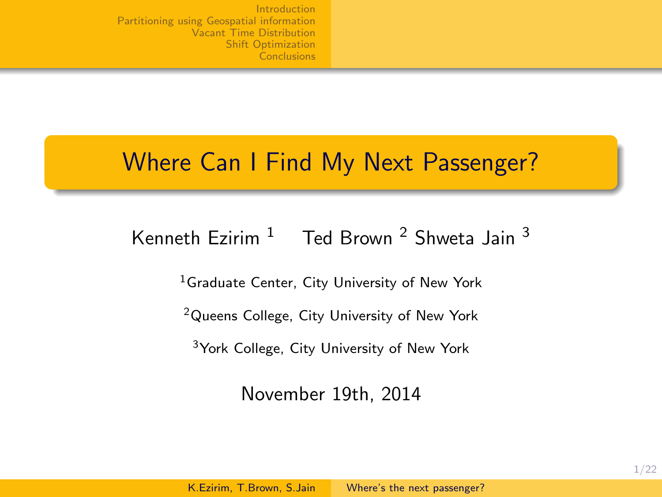## Where Can I Find My Next Passenger?

### Kenneth Fzirim  $1$  Ted Brown  $2$  Shweta Jain  $3$

<sup>1</sup>Graduate Center, City University of New York

<sup>2</sup>Queens College, City University of New York

<sup>3</sup>York College, City University of New York

<span id="page-0-0"></span>November 19th, 2014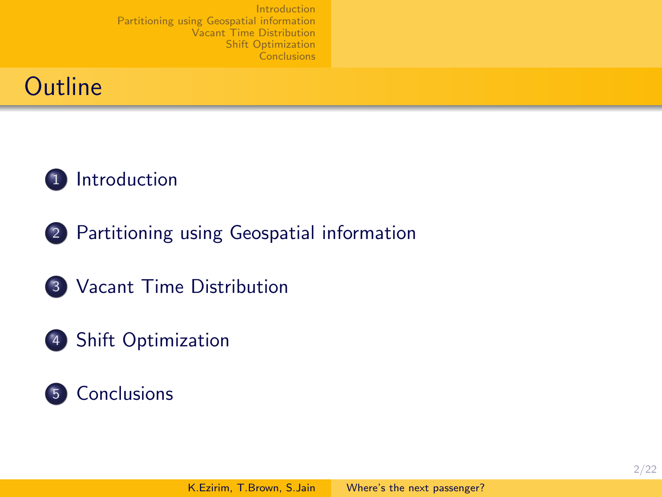



- 2 [Partitioning using Geospatial information](#page-7-0)
- 3 [Vacant Time Distribution](#page-9-0)
- 4 [Shift Optimization](#page-12-0)

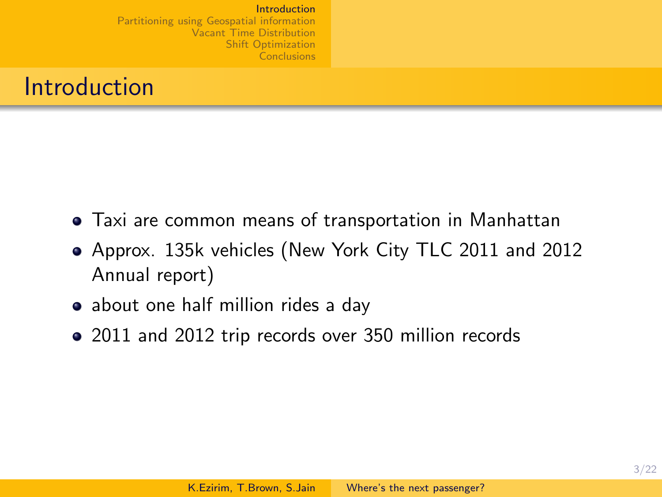## Introduction

- Taxi are common means of transportation in Manhattan
- Approx. 135k vehicles (New York City TLC 2011 and 2012 Annual report)
- about one half million rides a day
- <span id="page-2-0"></span>• 2011 and 2012 trip records over 350 million records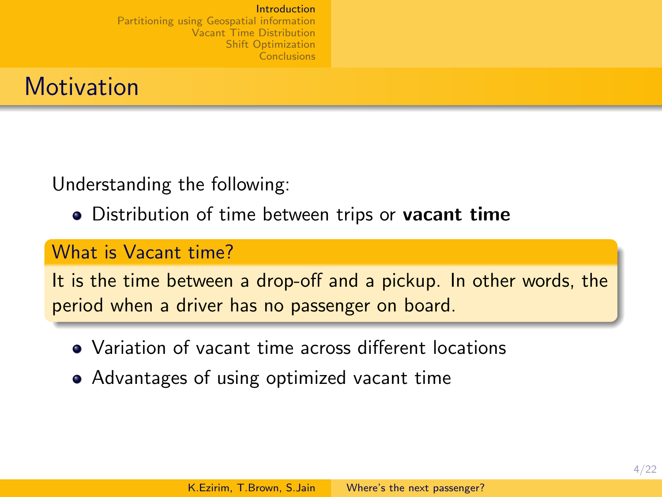

Understanding the following:

• Distribution of time between trips or vacant time

#### What is Vacant time?

It is the time between a drop-off and a pickup. In other words, the period when a driver has no passenger on board.

- Variation of vacant time across different locations
- Advantages of using optimized vacant time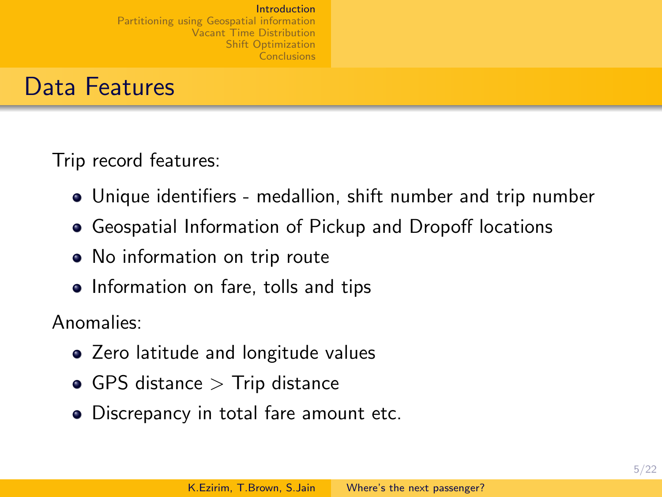### Data Features

Trip record features:

- Unique identifiers medallion, shift number and trip number
- Geospatial Information of Pickup and Dropoff locations
- No information on trip route
- Information on fare, tolls and tips

Anomalies:

- Zero latitude and longitude values
- $\bullet$  GPS distance  $>$  Trip distance
- Discrepancy in total fare amount etc.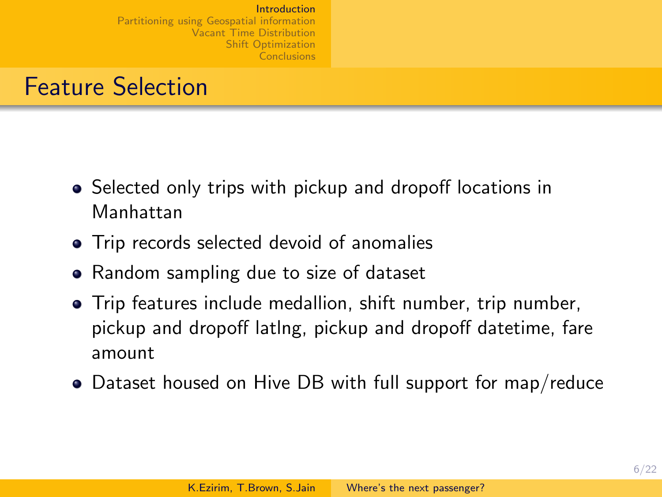## Feature Selection

- Selected only trips with pickup and dropoff locations in Manhattan
- Trip records selected devoid of anomalies
- Random sampling due to size of dataset
- Trip features include medallion, shift number, trip number, pickup and dropoff latlng, pickup and dropoff datetime, fare amount
- Dataset housed on Hive DB with full support for map/reduce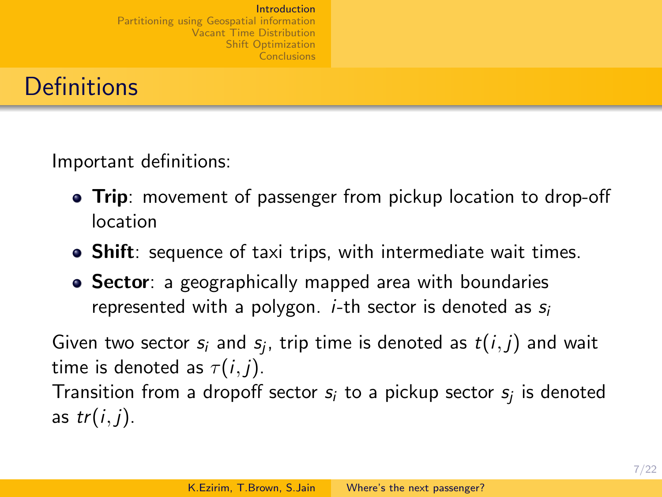

Important definitions:

- Trip: movement of passenger from pickup location to drop-off location
- Shift: sequence of taxi trips, with intermediate wait times.
- Sector: a geographically mapped area with boundaries represented with a polygon. *i*-th sector is denoted as  $s_i$

Given two sector  $s_i$  and  $s_j$ , trip time is denoted as  $t(i,j)$  and wait time is denoted as  $\tau(i, j)$ . Transition from a dropoff sector  $s_i$  to a pickup sector  $s_j$  is denoted as  $tr(i, j)$ .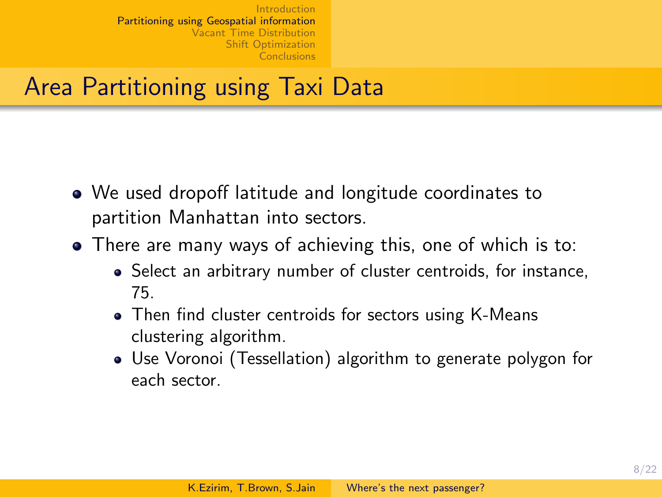# Area Partitioning using Taxi Data

- We used dropoff latitude and longitude coordinates to partition Manhattan into sectors.
- <span id="page-7-0"></span>There are many ways of achieving this, one of which is to:
	- Select an arbitrary number of cluster centroids, for instance, 75.
	- Then find cluster centroids for sectors using K-Means clustering algorithm.
	- Use Voronoi (Tessellation) algorithm to generate polygon for each sector.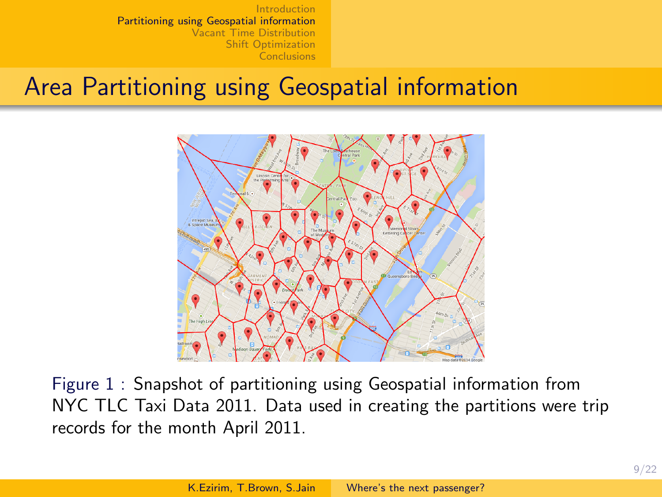# Area Partitioning using Geospatial information



Figure 1 : Snapshot of partitioning using Geospatial information from NYC TLC Taxi Data 2011. Data used in creating the partitions were trip records for the month April 2011.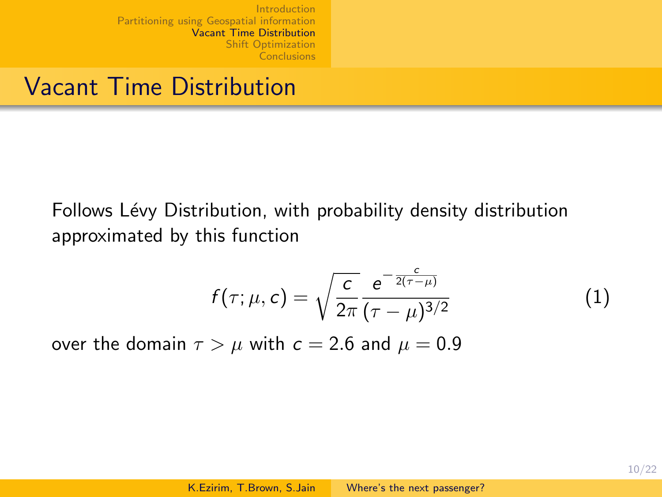## Vacant Time Distribution

Follows Lévy Distribution, with probability density distribution approximated by this function

<span id="page-9-0"></span>
$$
f(\tau; \mu, c) = \sqrt{\frac{c}{2\pi}} \frac{e^{-\frac{c}{2(\tau - \mu)}}}{(\tau - \mu)^{3/2}}
$$
(1)

over the domain  $\tau > \mu$  with  $c = 2.6$  and  $\mu = 0.9$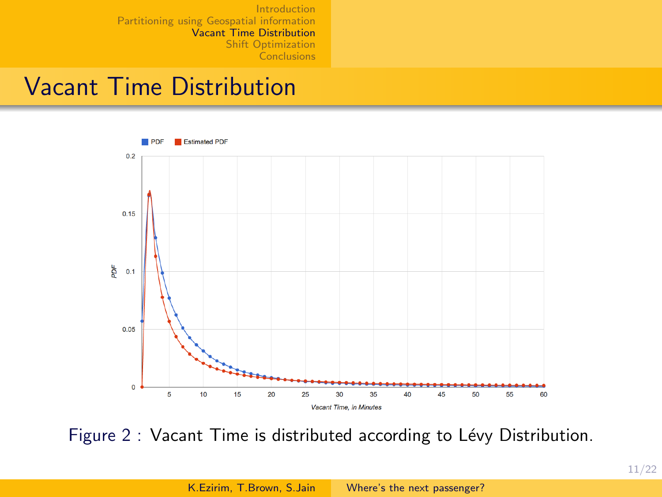### Vacant Time Distribution



Figure 2 : Vacant Time is distributed according to Lévy Distribution.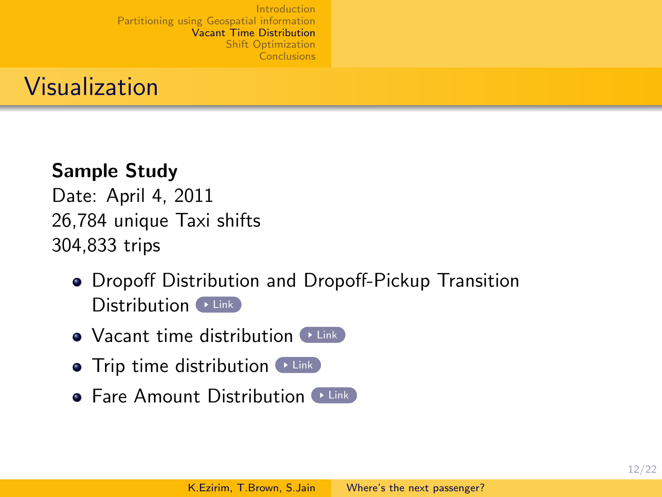

#### Sample Study

Date: April 4, 2011 26,784 unique Taxi shifts 304,833 trips

- Dropoff Distribution and Dropoff-Pickup Transition  $Distribution$  [Link](http://bkcollege.ezirim.com/nyctlc/wtanalysis/transition.htm)
- $\bullet$  Vacant time distribution  $\bullet$  [Link](http://bkcollege.ezirim.com/nyctlc/wtanalysis/waittime.htm)
- $\bullet$  Trip time distribution  $\bullet$  [Link](http://bkcollege.ezirim.com/nyctlc/wtanalysis/triptime.htm)
- $\bullet$  Fare Amount Distribution  $\bullet$  [Link](http://bkcollege.ezirim.com/nyctlc/wtanalysis/fareamt.htm)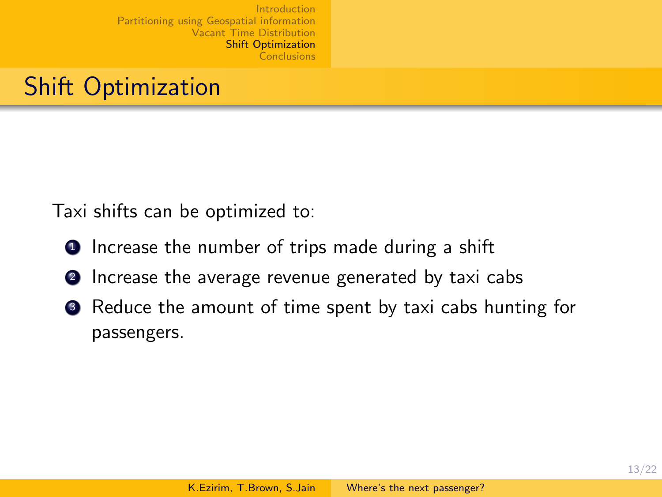# Shift Optimization

Taxi shifts can be optimized to:

- **1** Increase the number of trips made during a shift
- **2** Increase the average revenue generated by taxi cabs
- <span id="page-12-0"></span><sup>3</sup> Reduce the amount of time spent by taxi cabs hunting for passengers.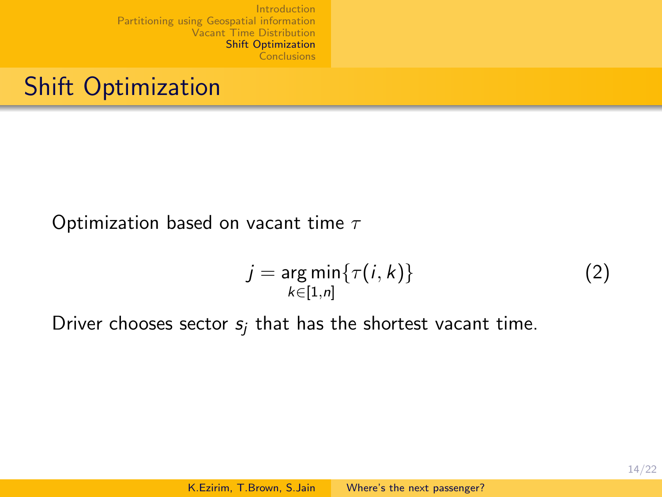## Shift Optimization

#### Optimization based on vacant time  $\tau$

$$
j = \underset{k \in [1,n]}{\arg \min} \{ \tau(i,k) \}
$$
 (2)

Driver chooses sector  $s_i$  that has the shortest vacant time.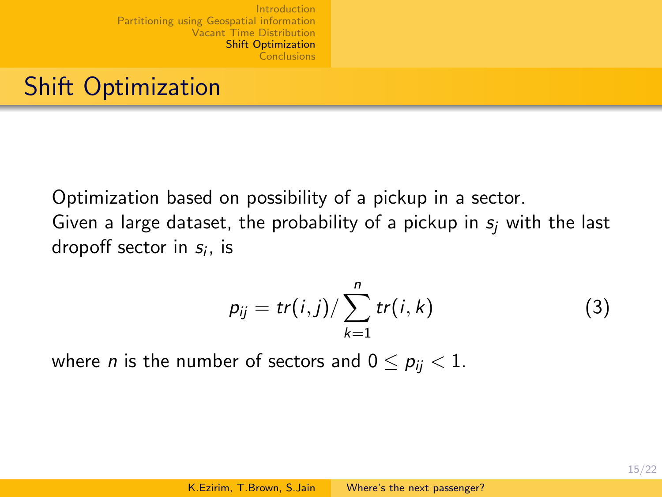# Shift Optimization

Optimization based on possibility of a pickup in a sector. Given a large dataset, the probability of a pickup in  $s_i$  with the last dropoff sector in  $s_i$ , is

$$
p_{ij} = tr(i,j) / \sum_{k=1}^{n} tr(i,k)
$$
 (3)

where *n* is the number of sectors and  $0 \le p_{ij} < 1$ .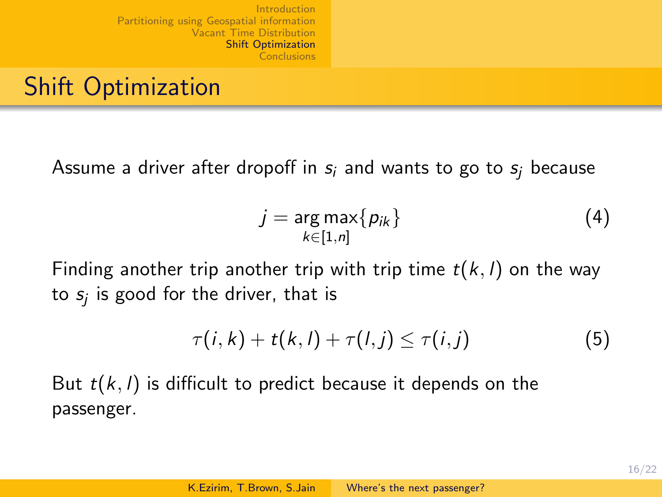## Shift Optimization

Assume a driver after dropoff in  $s_i$  and wants to go to  $s_i$  because

$$
j = \underset{k \in [1,n]}{\arg \max} \{ p_{ik} \}
$$
 (4)

Finding another trip another trip with trip time  $t(k, l)$  on the way to  $\mathsf{s}_j$  is good for the driver, that is

$$
\tau(i,k)+t(k,l)+\tau(l,j)\leq \tau(i,j) \qquad (5)
$$

But  $t(k, l)$  is difficult to predict because it depends on the passenger.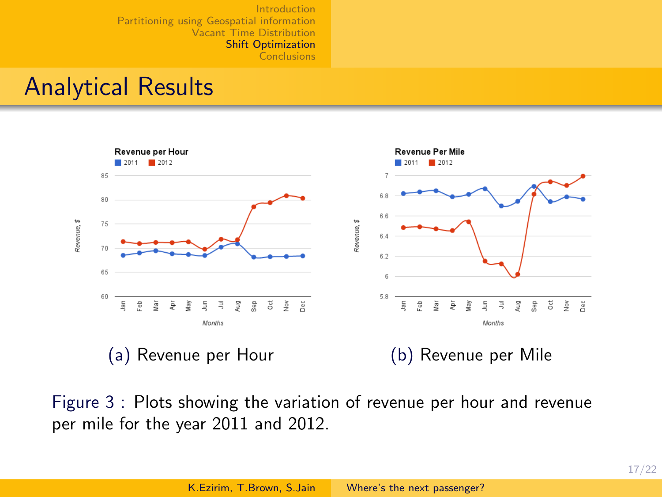### Analytical Results



Figure 3 : Plots showing the variation of revenue per hour and revenue per mile for the year 2011 and 2012.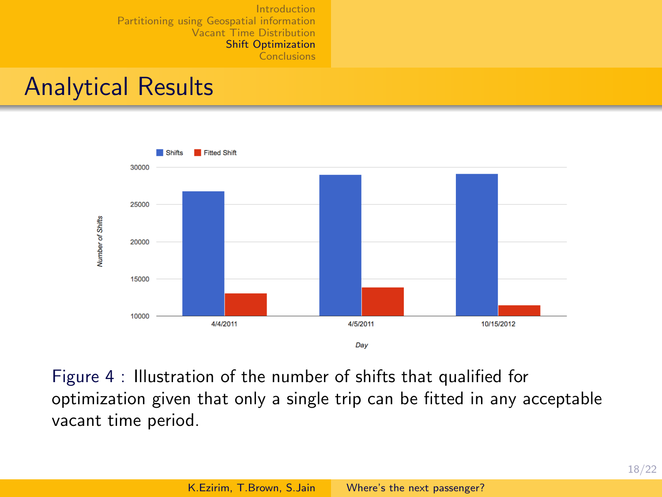### Analytical Results



Figure 4 : Illustration of the number of shifts that qualified for optimization given that only a single trip can be fitted in any acceptable vacant time period.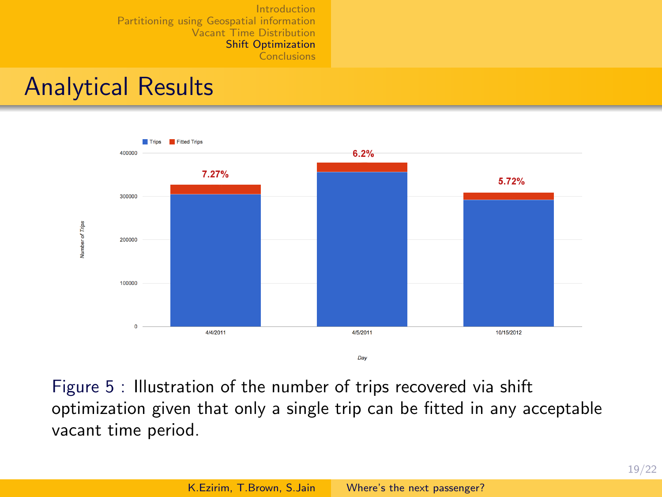## Analytical Results



Figure 5 : Illustration of the number of trips recovered via shift optimization given that only a single trip can be fitted in any acceptable vacant time period.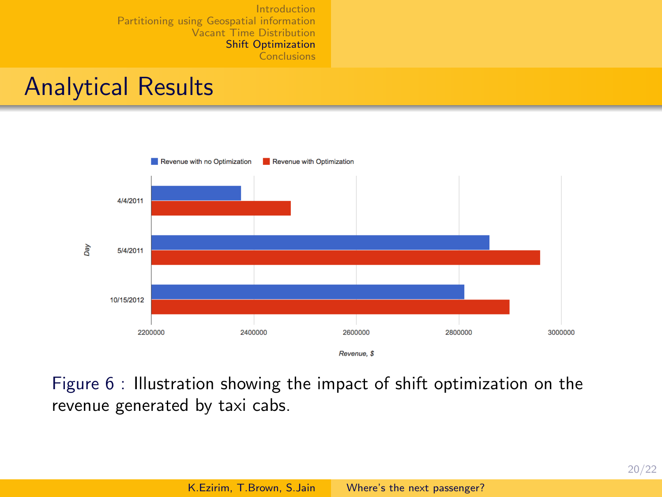### Analytical Results



Figure 6 : Illustration showing the impact of shift optimization on the revenue generated by taxi cabs.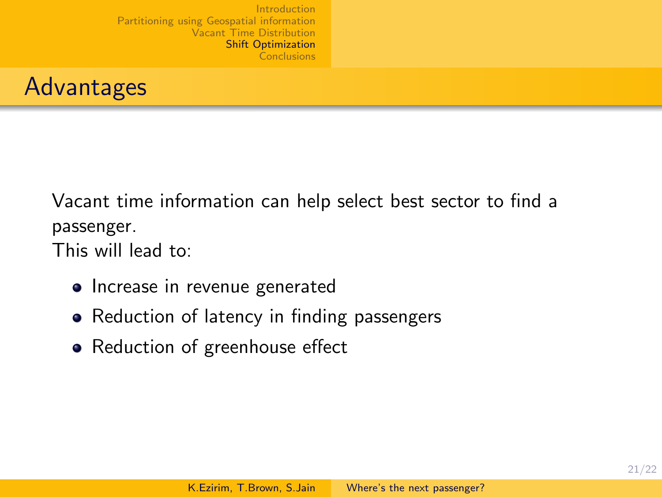

Vacant time information can help select best sector to find a passenger.

This will lead to:

- Increase in revenue generated
- Reduction of latency in finding passengers
- Reduction of greenhouse effect